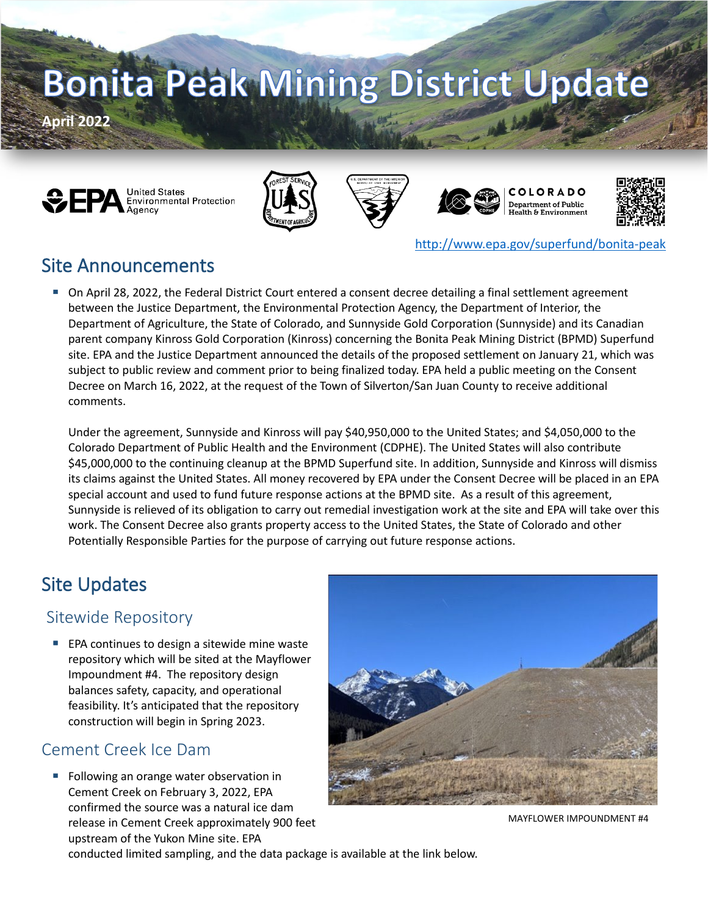# **Bonita Peak Mining District Update**

**April 2022**













<http://www.epa.gov/superfund/bonita-peak>

## Site Announcements

 On April 28, 2022, the Federal District Court entered a consent decree detailing a final settlement agreement between the Justice Department, the Environmental Protection Agency, the Department of Interior, the Department of Agriculture, the State of Colorado, and Sunnyside Gold Corporation (Sunnyside) and its Canadian parent company Kinross Gold Corporation (Kinross) concerning the Bonita Peak Mining District (BPMD) Superfund site. EPA and the Justice Department announced the details of the proposed settlement on January 21, which was subject to public review and comment prior to being finalized today. EPA held a public meeting on the Consent Decree on March 16, 2022, at the request of the Town of Silverton/San Juan County to receive additional comments.

Under the agreement, Sunnyside and Kinross will pay \$40,950,000 to the United States; and \$4,050,000 to the Colorado Department of Public Health and the Environment (CDPHE). The United States will also contribute \$45,000,000 to the continuing cleanup at the BPMD Superfund site. In addition, Sunnyside and Kinross will dismiss its claims against the United States. All money recovered by EPA under the Consent Decree will be placed in an EPA special account and used to fund future response actions at the BPMD site. As a result of this agreement, Sunnyside is relieved of its obligation to carry out remedial investigation work at the site and EPA will take over this work. The Consent Decree also grants property access to the United States, the State of Colorado and other Potentially Responsible Parties for the purpose of carrying out future response actions.

# Site Updates

#### Sitewide Repository

 EPA continues to design a sitewide mine waste repository which will be sited at the Mayflower Impoundment #4. The repository design balances safety, capacity, and operational feasibility. It's anticipated that the repository construction will begin in Spring 2023.

#### Cement Creek Ice Dam

 Following an orange water observation in Cement Creek on February 3, 2022, EPA confirmed the source was a natural ice dam release in Cement Creek approximately 900 feet upstream of the Yukon Mine site. EPA



MAYFLOWER IMPOUNDMENT #4

conducted limited sampling, and the data package is available at the link below.